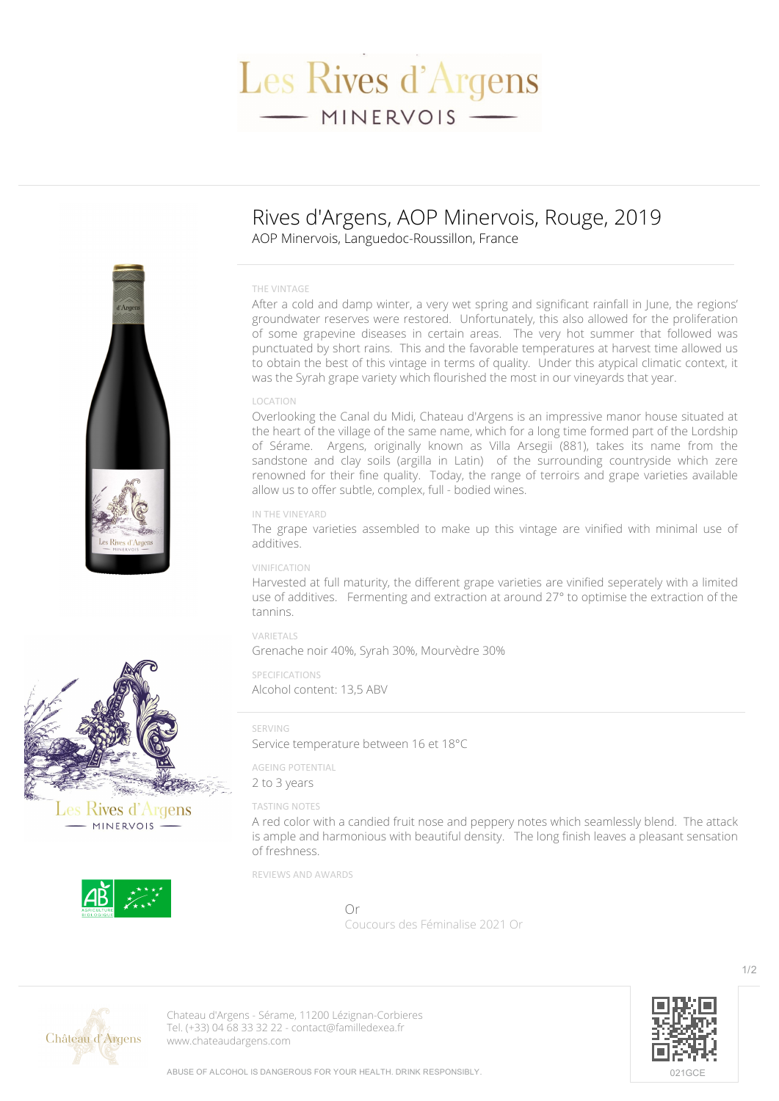# Les Rives d'Argens - MINERVOIS -

# **Rives d'Argens, AOP Minervois, Rouge, 2019** AOP Minervois, Languedoc-Roussillon, France

#### **THE VINTAGE**

After a cold and damp winter, a very wet spring and significant rainfall in June, the regions' groundwater reserves were restored. Unfortunately, this also allowed for the proliferation of some grapevine diseases in certain areas. The very hot summer that followed was punctuated by short rains. This and the favorable temperatures at harvest time allowed us to obtain the best of this vintage in terms of quality. Under this atypical climatic context, it was the Syrah grape variety which flourished the most in our vineyards that year.

# **LOCATION**

Overlooking the Canal du Midi, Chateau d'Argens is an impressive manor house situated at the heart of the village of the same name, which for a long time formed part of the Lordship of Sérame. Argens, originally known as Villa Arsegii (881), takes its name from the sandstone and clay soils (argilla in Latin) of the surrounding countryside which zere renowned for their fine quality. Today, the range of terroirs and grape varieties available allow us to offer subtle, complex, full - bodied wines.

#### **IN THE VINEYARD**

The grape varieties assembled to make up this vintage are vinified with minimal use of additives.

### **VINIFICATION**

Harvested at full maturity, the different grape varieties are vinified seperately with a limited use of additives. Fermenting and extraction at around 27° to optimise the extraction of the tannins.

# **VARIETALS**

Grenache noir 40%, Syrah 30%, Mourvèdre 30%

#### **SPECIFICATIONS** Alcohol content: 13,5 ABV

#### **SERVING**

Service temperature between 16 et 18°C

**AGEING POTENTIAL** 2 to 3 years

# **TASTING NOTES**

A red color with a candied fruit nose and peppery notes which seamlessly blend. The attack is ample and harmonious with beautiful density. The long finish leaves a pleasant sensation of freshness.

**REVIEWS AND AWARDS**

Or **Coucours des Féminalise 2021 Or**



**Chateau d'Argens** - Sérame, 11200 Lézignan-Corbieres Tel. (+33) 04 68 33 32 22 - contact@familledexea.fr <www.chateaudargens.com>







les Rives d'Argens - MINERVOIS -